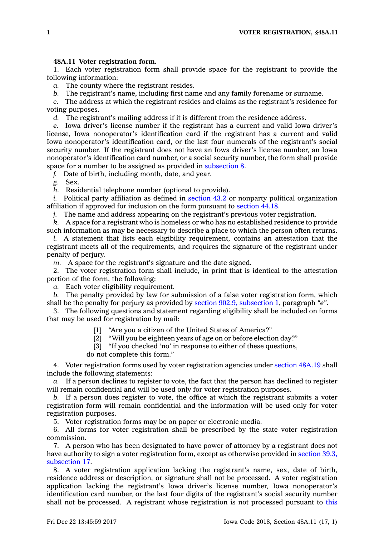## **48A.11 Voter registration form.**

1. Each voter registration form shall provide space for the registrant to provide the following information:

*a.* The county where the registrant resides.

*b.* The registrant's name, including first name and any family forename or surname.

*c.* The address at which the registrant resides and claims as the registrant's residence for voting purposes.

*d.* The registrant's mailing address if it is different from the residence address.

*e.* Iowa driver's license number if the registrant has <sup>a</sup> current and valid Iowa driver's license, Iowa nonoperator's identification card if the registrant has <sup>a</sup> current and valid Iowa nonoperator's identification card, or the last four numerals of the registrant's social security number. If the registrant does not have an Iowa driver's license number, an Iowa nonoperator's identification card number, or <sup>a</sup> social security number, the form shall provide space for <sup>a</sup> number to be assigned as provided in [subsection](https://www.legis.iowa.gov/docs/code/48A.11.pdf) 8.

*f.* Date of birth, including month, date, and year.

*g.* Sex.

*h.* Residential telephone number (optional to provide).

*i.* Political party affiliation as defined in [section](https://www.legis.iowa.gov/docs/code/43.2.pdf) 43.2 or nonparty political organization affiliation if approved for inclusion on the form pursuant to [section](https://www.legis.iowa.gov/docs/code/44.18.pdf) 44.18.

*j.* The name and address appearing on the registrant's previous voter registration.

*k.* A space for <sup>a</sup> registrant who is homeless or who has no established residence to provide such information as may be necessary to describe <sup>a</sup> place to which the person often returns.

*l.* A statement that lists each eligibility requirement, contains an attestation that the registrant meets all of the requirements, and requires the signature of the registrant under penalty of perjury.

*m.* A space for the registrant's signature and the date signed.

2. The voter registration form shall include, in print that is identical to the attestation portion of the form, the following:

*a.* Each voter eligibility requirement.

*b.* The penalty provided by law for submission of <sup>a</sup> false voter registration form, which shall be the penalty for perjury as provided by section 902.9, [subsection](https://www.legis.iowa.gov/docs/code/902.9.pdf) 1, paragraph *"e"*.

3. The following questions and statement regarding eligibility shall be included on forms that may be used for registration by mail:

[1] "Are you <sup>a</sup> citizen of the United States of America?"

[2] "Will you be eighteen years of age on or before election day?"

[3] "If you checked 'no' in response to either of these questions,

do not complete this form."

4. Voter registration forms used by voter registration agencies under [section](https://www.legis.iowa.gov/docs/code/48A.19.pdf) 48A.19 shall include the following statements:

*a.* If <sup>a</sup> person declines to register to vote, the fact that the person has declined to register will remain confidential and will be used only for voter registration purposes.

*b.* If <sup>a</sup> person does register to vote, the office at which the registrant submits <sup>a</sup> voter registration form will remain confidential and the information will be used only for voter registration purposes.

5. Voter registration forms may be on paper or electronic media.

6. All forms for voter registration shall be prescribed by the state voter registration commission.

7. A person who has been designated to have power of attorney by <sup>a</sup> registrant does not have authority to sign <sup>a</sup> voter registration form, except as otherwise provided in [section](https://www.legis.iowa.gov/docs/code/39.3.pdf) 39.3, [subsection](https://www.legis.iowa.gov/docs/code/39.3.pdf) 17.

8. A voter registration application lacking the registrant's name, sex, date of birth, residence address or description, or signature shall not be processed. A voter registration application lacking the registrant's Iowa driver's license number, Iowa nonoperator's identification card number, or the last four digits of the registrant's social security number shall not be processed. A registrant whose registration is not processed pursuant to [this](https://www.legis.iowa.gov/docs/code/48A.11.pdf)